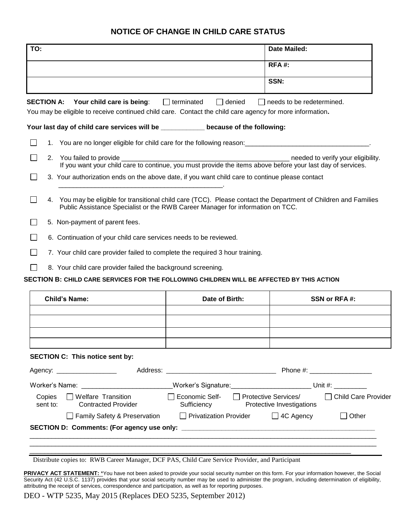# **NOTICE OF CHANGE IN CHILD CARE STATUS**

| SSN:<br>$\Box$ terminated<br>Your child care is being:<br>  denied<br><b>SECTION A:</b><br>You may be eligible to receive continued child care. Contact the child care agency for more information.<br>Your last day of child care services will be ___________ because of the following:<br>1. You are no longer eligible for child care for the following reason: ___________________________________<br>2. You failed to provide experience and the state of the state of the state of the state of the state of the state of the state of the state of the state of the state of the state of the state of the state of the state of<br>If you want your child care to continue, you must provide the items above before your last day of services.<br>3. Your authorization ends on the above date, if you want child care to continue please contact<br>4. You may be eligible for transitional child care (TCC). Please contact the Department of Children and Families<br>Public Assistance Specialist or the RWB Career Manager for information on TCC.<br>5. Non-payment of parent fees.<br>6. Continuation of your child care services needs to be reviewed. | $RFA#$ :<br>  needs to be redetermined.<br>_ needed to verify your eligibility. |
|-------------------------------------------------------------------------------------------------------------------------------------------------------------------------------------------------------------------------------------------------------------------------------------------------------------------------------------------------------------------------------------------------------------------------------------------------------------------------------------------------------------------------------------------------------------------------------------------------------------------------------------------------------------------------------------------------------------------------------------------------------------------------------------------------------------------------------------------------------------------------------------------------------------------------------------------------------------------------------------------------------------------------------------------------------------------------------------------------------------------------------------------------------------------------|---------------------------------------------------------------------------------|
|                                                                                                                                                                                                                                                                                                                                                                                                                                                                                                                                                                                                                                                                                                                                                                                                                                                                                                                                                                                                                                                                                                                                                                         |                                                                                 |
|                                                                                                                                                                                                                                                                                                                                                                                                                                                                                                                                                                                                                                                                                                                                                                                                                                                                                                                                                                                                                                                                                                                                                                         |                                                                                 |
|                                                                                                                                                                                                                                                                                                                                                                                                                                                                                                                                                                                                                                                                                                                                                                                                                                                                                                                                                                                                                                                                                                                                                                         |                                                                                 |
|                                                                                                                                                                                                                                                                                                                                                                                                                                                                                                                                                                                                                                                                                                                                                                                                                                                                                                                                                                                                                                                                                                                                                                         |                                                                                 |
|                                                                                                                                                                                                                                                                                                                                                                                                                                                                                                                                                                                                                                                                                                                                                                                                                                                                                                                                                                                                                                                                                                                                                                         |                                                                                 |
|                                                                                                                                                                                                                                                                                                                                                                                                                                                                                                                                                                                                                                                                                                                                                                                                                                                                                                                                                                                                                                                                                                                                                                         |                                                                                 |
|                                                                                                                                                                                                                                                                                                                                                                                                                                                                                                                                                                                                                                                                                                                                                                                                                                                                                                                                                                                                                                                                                                                                                                         |                                                                                 |
|                                                                                                                                                                                                                                                                                                                                                                                                                                                                                                                                                                                                                                                                                                                                                                                                                                                                                                                                                                                                                                                                                                                                                                         |                                                                                 |
|                                                                                                                                                                                                                                                                                                                                                                                                                                                                                                                                                                                                                                                                                                                                                                                                                                                                                                                                                                                                                                                                                                                                                                         |                                                                                 |
|                                                                                                                                                                                                                                                                                                                                                                                                                                                                                                                                                                                                                                                                                                                                                                                                                                                                                                                                                                                                                                                                                                                                                                         |                                                                                 |
| 7. Your child care provider failed to complete the required 3 hour training.                                                                                                                                                                                                                                                                                                                                                                                                                                                                                                                                                                                                                                                                                                                                                                                                                                                                                                                                                                                                                                                                                            |                                                                                 |
| 8. Your child care provider failed the background screening.                                                                                                                                                                                                                                                                                                                                                                                                                                                                                                                                                                                                                                                                                                                                                                                                                                                                                                                                                                                                                                                                                                            |                                                                                 |
| SECTION B: CHILD CARE SERVICES FOR THE FOLLOWING CHILDREN WILL BE AFFECTED BY THIS ACTION                                                                                                                                                                                                                                                                                                                                                                                                                                                                                                                                                                                                                                                                                                                                                                                                                                                                                                                                                                                                                                                                               |                                                                                 |
| <b>Child's Name:</b><br>Date of Birth:                                                                                                                                                                                                                                                                                                                                                                                                                                                                                                                                                                                                                                                                                                                                                                                                                                                                                                                                                                                                                                                                                                                                  | SSN or RFA#:                                                                    |
|                                                                                                                                                                                                                                                                                                                                                                                                                                                                                                                                                                                                                                                                                                                                                                                                                                                                                                                                                                                                                                                                                                                                                                         |                                                                                 |
|                                                                                                                                                                                                                                                                                                                                                                                                                                                                                                                                                                                                                                                                                                                                                                                                                                                                                                                                                                                                                                                                                                                                                                         |                                                                                 |
|                                                                                                                                                                                                                                                                                                                                                                                                                                                                                                                                                                                                                                                                                                                                                                                                                                                                                                                                                                                                                                                                                                                                                                         |                                                                                 |
| <b>SECTION C: This notice sent by:</b>                                                                                                                                                                                                                                                                                                                                                                                                                                                                                                                                                                                                                                                                                                                                                                                                                                                                                                                                                                                                                                                                                                                                  |                                                                                 |
| Agency: ______________________                                                                                                                                                                                                                                                                                                                                                                                                                                                                                                                                                                                                                                                                                                                                                                                                                                                                                                                                                                                                                                                                                                                                          |                                                                                 |
| Worker's Name: ________________________Worker's Signature: ______________________Unit #: __________                                                                                                                                                                                                                                                                                                                                                                                                                                                                                                                                                                                                                                                                                                                                                                                                                                                                                                                                                                                                                                                                     |                                                                                 |
| $\Box$ Welfare Transition<br>□ Economic Self-<br>□ Protective Services/<br>Copies<br><b>Contracted Provider</b><br>Sufficiency<br>sent to:                                                                                                                                                                                                                                                                                                                                                                                                                                                                                                                                                                                                                                                                                                                                                                                                                                                                                                                                                                                                                              | □ Child Care Provider<br>Protective Investigations                              |
| $\Box$ Privatization Provider<br>Family Safety & Preservation                                                                                                                                                                                                                                                                                                                                                                                                                                                                                                                                                                                                                                                                                                                                                                                                                                                                                                                                                                                                                                                                                                           | $\Box$ 4C Agency<br>$\Box$ Other                                                |
|                                                                                                                                                                                                                                                                                                                                                                                                                                                                                                                                                                                                                                                                                                                                                                                                                                                                                                                                                                                                                                                                                                                                                                         |                                                                                 |

Distribute copies to: RWB Career Manager, DCF PAS, Child Care Service Provider, and Participant

**PRIVACY ACT STATEMENT:** \*You have not been asked to provide your social security number on this form. For your information however, the Social Security Act (42 U.S.C. 1137) provides that your social security number may be used to administer the program, including determination of eligibility, attributing the receipt of services, correspondence and participation, as well as for reporting purposes.

DEO - WTP 5235, May 2015 (Replaces DEO 5235, September 2012)